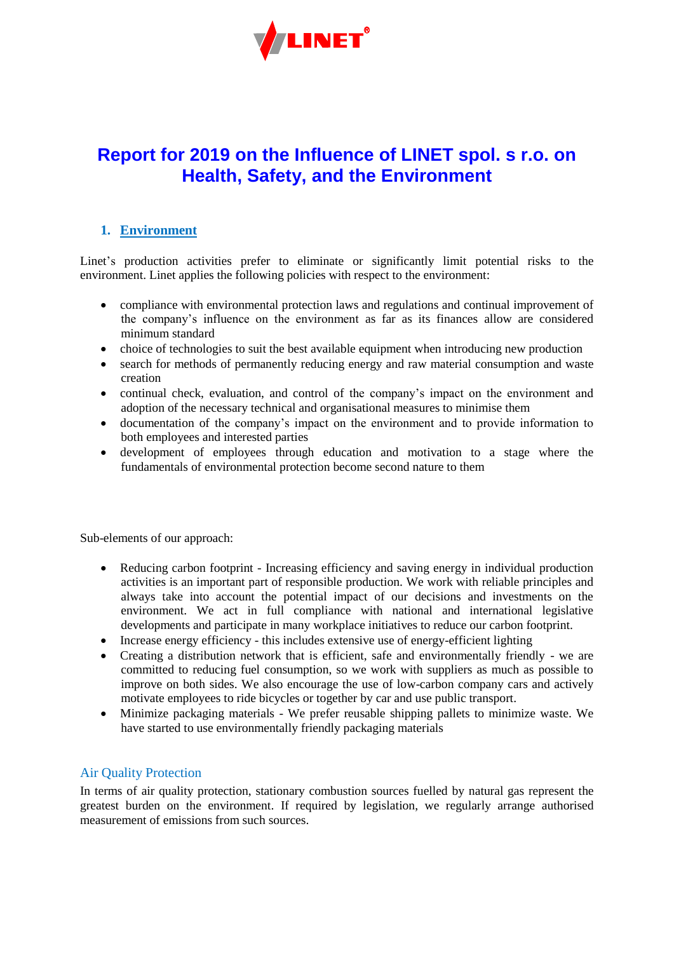

# **Report for 2019 on the Influence of LINET spol. s r.o. on Health, Safety, and the Environment**

### **1. Environment**

Linet's production activities prefer to eliminate or significantly limit potential risks to the environment. Linet applies the following policies with respect to the environment:

- compliance with environmental protection laws and regulations and continual improvement of the company's influence on the environment as far as its finances allow are considered minimum standard
- choice of technologies to suit the best available equipment when introducing new production
- search for methods of permanently reducing energy and raw material consumption and waste creation
- continual check, evaluation, and control of the company's impact on the environment and adoption of the necessary technical and organisational measures to minimise them
- documentation of the company's impact on the environment and to provide information to both employees and interested parties
- development of employees through education and motivation to a stage where the fundamentals of environmental protection become second nature to them

Sub-elements of our approach:

- Reducing carbon footprint Increasing efficiency and saving energy in individual production activities is an important part of responsible production. We work with reliable principles and always take into account the potential impact of our decisions and investments on the environment. We act in full compliance with national and international legislative developments and participate in many workplace initiatives to reduce our carbon footprint.
- Increase energy efficiency this includes extensive use of energy-efficient lighting
- Creating a distribution network that is efficient, safe and environmentally friendly we are committed to reducing fuel consumption, so we work with suppliers as much as possible to improve on both sides. We also encourage the use of low-carbon company cars and actively motivate employees to ride bicycles or together by car and use public transport.
- Minimize packaging materials We prefer reusable shipping pallets to minimize waste. We have started to use environmentally friendly packaging materials

# Air Quality Protection

In terms of air quality protection, stationary combustion sources fuelled by natural gas represent the greatest burden on the environment. If required by legislation, we regularly arrange authorised measurement of emissions from such sources.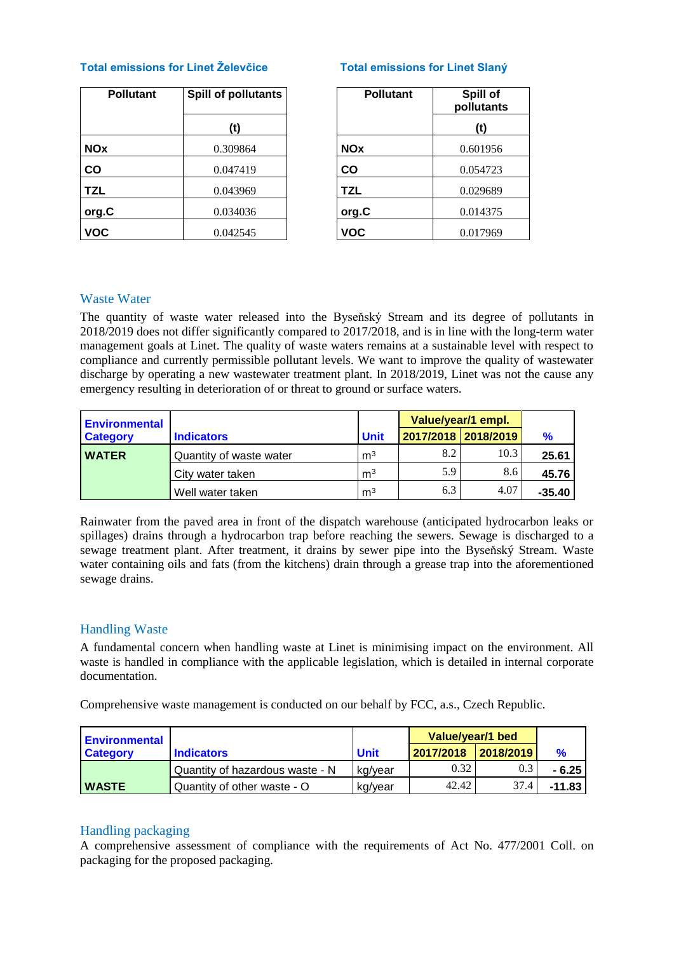#### **Total emissions for Linet Želevčice Total emissions for Linet Slaný**

| <b>Pollutant</b> | <b>Spill of pollutants</b> | <b>Pollutant</b> | Spill of<br>pollutant |
|------------------|----------------------------|------------------|-----------------------|
|                  | (t)                        |                  | (t)                   |
| <b>NOx</b>       | 0.309864                   | <b>NOx</b>       | 0.601956              |
| $\mathbf{co}$    | 0.047419                   | CO               | 0.054723              |
| <b>TZL</b>       | 0.043969                   | <b>TZL</b>       | 0.029689              |
| org.C            | 0.034036                   | org.C            | 0.014375              |
| <b>VOC</b>       | 0.042545                   | <b>VOC</b>       | 0.017969              |

| pollutants | <b>Pollutant</b> | Spill of<br>pollutants |
|------------|------------------|------------------------|
| (t)        |                  | (t)                    |
| 09864      | <b>NOx</b>       | 0.601956               |
| 47419      | CO               | 0.054723               |
| 43969      | TZL              | 0.029689               |
| 34036      | org.C            | 0.014375               |
| 42545      | <b>VOC</b>       | 0.017969               |

#### Waste Water

The quantity of waste water released into the Byseňský Stream and its degree of pollutants in 2018/2019 does not differ significantly compared to 2017/2018, and is in line with the long-term water management goals at Linet. The quality of waste waters remains at a sustainable level with respect to compliance and currently permissible pollutant levels. We want to improve the quality of wastewater discharge by operating a new wastewater treatment plant. In 2018/2019, Linet was not the cause any emergency resulting in deterioration of or threat to ground or surface waters.

| <b>Environmental</b> |                         |                | Value/year/1 empl. |                     |               |
|----------------------|-------------------------|----------------|--------------------|---------------------|---------------|
| <b>Category</b>      | <b>Indicators</b>       | <b>Unit</b>    |                    | 2017/2018 2018/2019 | $\frac{9}{6}$ |
| <b>WATER</b>         | Quantity of waste water | m <sup>3</sup> | 8.2                | 10.3                | 25.61         |
|                      | City water taken        | m <sup>3</sup> | 5.9                | 8.6                 | 45.76         |
|                      | Well water taken        | m <sup>3</sup> | 6.3                | 4.07                | $-35.40$      |

Rainwater from the paved area in front of the dispatch warehouse (anticipated hydrocarbon leaks or spillages) drains through a hydrocarbon trap before reaching the sewers. Sewage is discharged to a sewage treatment plant. After treatment, it drains by sewer pipe into the Byseňský Stream. Waste water containing oils and fats (from the kitchens) drain through a grease trap into the aforementioned sewage drains.

# Handling Waste

A fundamental concern when handling waste at Linet is minimising impact on the environment. All waste is handled in compliance with the applicable legislation, which is detailed in internal corporate documentation.

Comprehensive waste management is conducted on our behalf by FCC, a.s., Czech Republic.

| <b>Environmental</b> |                                 |             | Value/year/1 bed |           |          |
|----------------------|---------------------------------|-------------|------------------|-----------|----------|
| <b>Category</b>      | <b>Indicators</b>               | <b>Unit</b> | 2017/2018        | 2018/2019 |          |
|                      | Quantity of hazardous waste - N | kg/year     | 0.32             | 0.3       | $-6.25$  |
| <b>WASTE</b>         | Quantity of other waste - O     | kg/year     | 42.42            | 37.4      | $-11.83$ |

#### Handling packaging

A comprehensive assessment of compliance with the requirements of Act No. 477/2001 Coll. on packaging for the proposed packaging.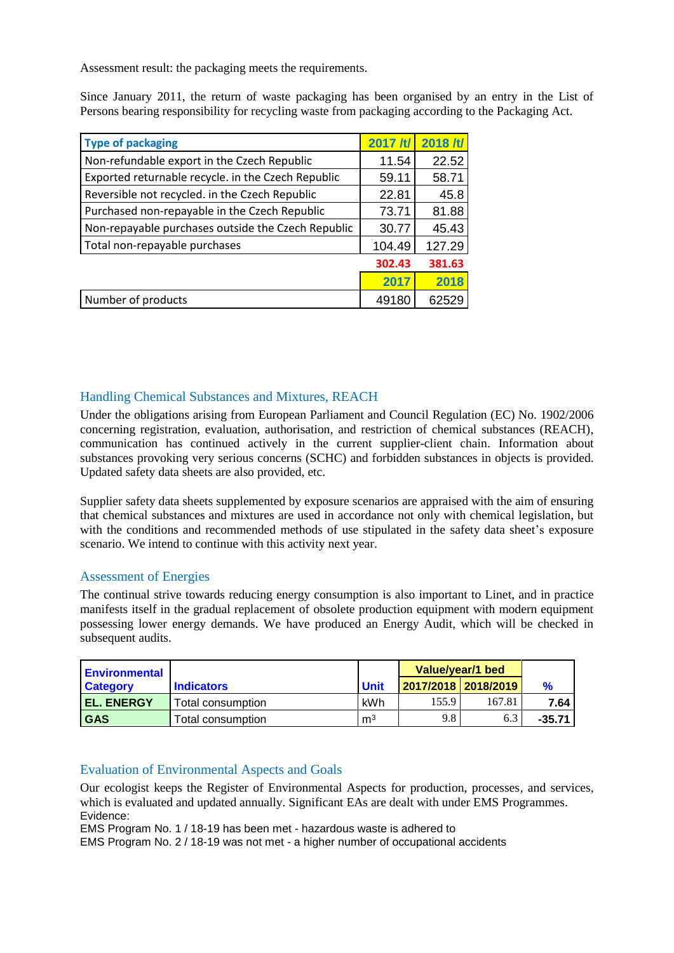Assessment result: the packaging meets the requirements.

Since January 2011, the return of waste packaging has been organised by an entry in the List of Persons bearing responsibility for recycling waste from packaging according to the Packaging Act.

| <b>Type of packaging</b>                           | 2017/t/ | 2018 /t/ |
|----------------------------------------------------|---------|----------|
| Non-refundable export in the Czech Republic        | 11.54   | 22.52    |
| Exported returnable recycle. in the Czech Republic | 59.11   | 58.71    |
| Reversible not recycled. in the Czech Republic     | 22.81   | 45.8     |
| Purchased non-repayable in the Czech Republic      | 73.71   | 81.88    |
| Non-repayable purchases outside the Czech Republic | 30.77   | 45.43    |
| Total non-repayable purchases                      | 104.49  | 127.29   |
|                                                    | 302.43  | 381.63   |
|                                                    | 2017    | 2018     |
| Number of products                                 | 49180   | 62529    |

#### Handling Chemical Substances and Mixtures, REACH

Under the obligations arising from European Parliament and Council Regulation (EC) No. 1902/2006 concerning registration, evaluation, authorisation, and restriction of chemical substances (REACH), communication has continued actively in the current supplier-client chain. Information about substances provoking very serious concerns (SCHC) and forbidden substances in objects is provided. Updated safety data sheets are also provided, etc.

Supplier safety data sheets supplemented by exposure scenarios are appraised with the aim of ensuring that chemical substances and mixtures are used in accordance not only with chemical legislation, but with the conditions and recommended methods of use stipulated in the safety data sheet's exposure scenario. We intend to continue with this activity next year.

#### Assessment of Energies

The continual strive towards reducing energy consumption is also important to Linet, and in practice manifests itself in the gradual replacement of obsolete production equipment with modern equipment possessing lower energy demands. We have produced an Energy Audit, which will be checked in subsequent audits.

| l Environmental   |                    |                | Value/year/1 bed      |        |               |
|-------------------|--------------------|----------------|-----------------------|--------|---------------|
| <b>Category</b>   | <b>Indicators</b>  | <b>Unit</b>    | 2017/2018   2018/2019 |        | $\frac{9}{6}$ |
| <b>EL. ENERGY</b> | Total consumption  | kWh            | 155.9                 | 167.81 | 7.64          |
| <b>GAS</b>        | Total consumption. | m <sup>3</sup> | 9.8                   | 6.3    | $-35.71$      |

#### Evaluation of Environmental Aspects and Goals

Our ecologist keeps the Register of Environmental Aspects for production, processes, and services, which is evaluated and updated annually. Significant EAs are dealt with under EMS Programmes. Evidence:

EMS Program No. 1 / 18-19 has been met - hazardous waste is adhered to

EMS Program No. 2 / 18-19 was not met - a higher number of occupational accidents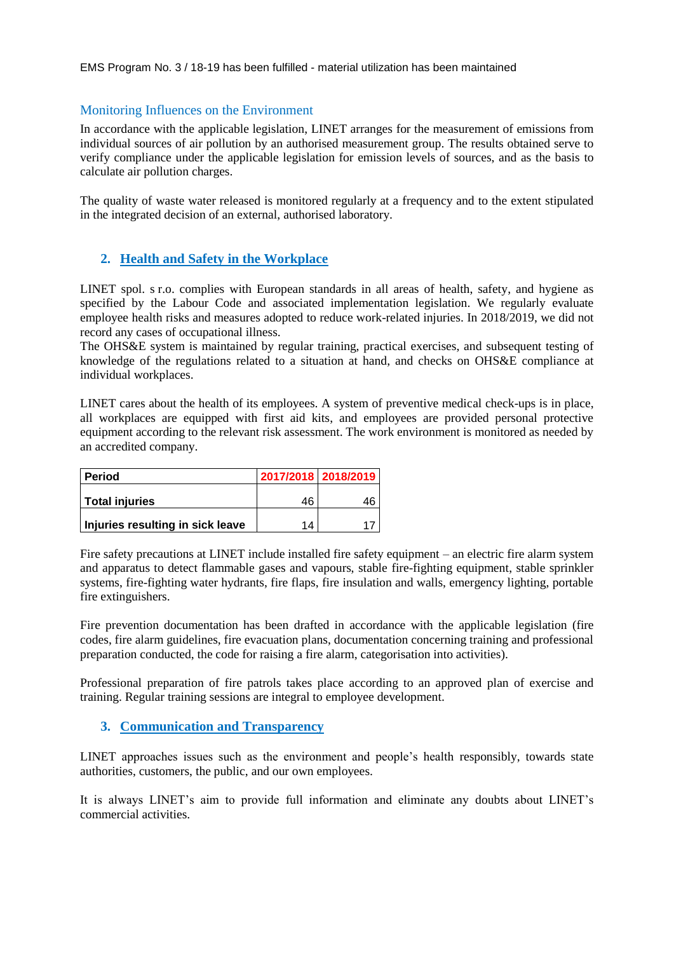EMS Program No. 3 / 18-19 has been fulfilled - material utilization has been maintained

#### Monitoring Influences on the Environment

In accordance with the applicable legislation, LINET arranges for the measurement of emissions from individual sources of air pollution by an authorised measurement group. The results obtained serve to verify compliance under the applicable legislation for emission levels of sources, and as the basis to calculate air pollution charges.

The quality of waste water released is monitored regularly at a frequency and to the extent stipulated in the integrated decision of an external, authorised laboratory.

#### **2. Health and Safety in the Workplace**

LINET spol. s r.o. complies with European standards in all areas of health, safety, and hygiene as specified by the Labour Code and associated implementation legislation. We regularly evaluate employee health risks and measures adopted to reduce work-related injuries. In 2018/2019, we did not record any cases of occupational illness.

The OHS&E system is maintained by regular training, practical exercises, and subsequent testing of knowledge of the regulations related to a situation at hand, and checks on OHS&E compliance at individual workplaces.

LINET cares about the health of its employees. A system of preventive medical check-ups is in place, all workplaces are equipped with first aid kits, and employees are provided personal protective equipment according to the relevant risk assessment. The work environment is monitored as needed by an accredited company.

| <b>Period</b>                    |    | 2017/2018 2018/2019 |
|----------------------------------|----|---------------------|
| <b>Total injuries</b>            | 46 |                     |
| Injuries resulting in sick leave | 14 |                     |

Fire safety precautions at LINET include installed fire safety equipment – an electric fire alarm system and apparatus to detect flammable gases and vapours, stable fire-fighting equipment, stable sprinkler systems, fire-fighting water hydrants, fire flaps, fire insulation and walls, emergency lighting, portable fire extinguishers.

Fire prevention documentation has been drafted in accordance with the applicable legislation (fire codes, fire alarm guidelines, fire evacuation plans, documentation concerning training and professional preparation conducted, the code for raising a fire alarm, categorisation into activities).

Professional preparation of fire patrols takes place according to an approved plan of exercise and training. Regular training sessions are integral to employee development.

#### **3. Communication and Transparency**

LINET approaches issues such as the environment and people's health responsibly, towards state authorities, customers, the public, and our own employees.

It is always LINET's aim to provide full information and eliminate any doubts about LINET's commercial activities.